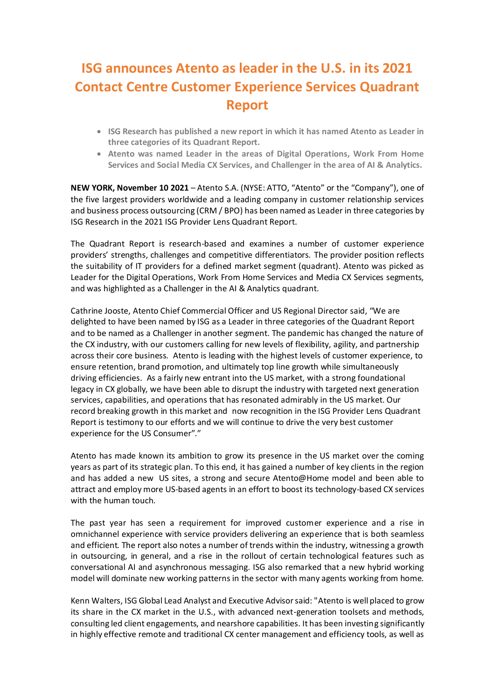## **ISG announces Atento as leader in the U.S. in its 2021 Contact Centre Customer Experience Services Quadrant Report**

- **ISG Research has published a new report in which it has named Atento as Leader in three categories of its Quadrant Report.**
- **Atento was named Leader in the areas of Digital Operations, Work From Home Services and Social Media CX Services, and Challenger in the area of AI & Analytics.**

**NEW YORK, November 10 2021** – Atento S.A. (NYSE: ATTO, "Atento" or the "Company"), one of the five largest providers worldwide and a leading company in customer relationship services and business process outsourcing (CRM / BPO) has been named as Leader in three categories by ISG Research in the 2021 ISG Provider Lens Quadrant Report.

The Quadrant Report is research-based and examines a number of customer experience providers' strengths, challenges and competitive differentiators. The provider position reflects the suitability of IT providers for a defined market segment (quadrant). Atento was picked as Leader for the Digital Operations, Work From Home Services and Media CX Services segments, and was highlighted as a Challenger in the AI & Analytics quadrant.

Cathrine Jooste, Atento Chief Commercial Officer and US Regional Director said, "We are delighted to have been named by ISG as a Leader in three categories of the Quadrant Report and to be named as a Challenger in another segment. The pandemic has changed the nature of the CX industry, with our customers calling for new levels of flexibility, agility, and partnership across their core business. Atento is leading with the highest levels of customer experience, to ensure retention, brand promotion, and ultimately top line growth while simultaneously driving efficiencies. As a fairly new entrant into the US market, with a strong foundational legacy in CX globally, we have been able to disrupt the industry with targeted next generation services, capabilities, and operations that has resonated admirably in the US market. Our record breaking growth in this market and now recognition in the ISG Provider Lens Quadrant Report is testimony to our efforts and we will continue to drive the very best customer experience for the US Consumer"."

Atento has made known its ambition to grow its presence in the US market over the coming years as part of its strategic plan. To this end, it has gained a number of key clients in the region and has added a new US sites, a strong and secure Atento@Home model and been able to attract and employ more US-based agents in an effort to boost its technology-based CX services with the human touch.

The past year has seen a requirement for improved customer experience and a rise in omnichannel experience with service providers delivering an experience that is both seamless and efficient. The report also notes a number of trends within the industry, witnessing a growth in outsourcing, in general, and a rise in the rollout of certain technological features such as conversational AI and asynchronous messaging. ISG also remarked that a new hybrid working model will dominate new working patterns in the sector with many agents working from home.

Kenn Walters, ISG Global Lead Analyst and Executive Advisor said: "Atento is well placed to grow its share in the CX market in the U.S., with advanced next-generation toolsets and methods, consulting led client engagements, and nearshore capabilities. It has been investing significantly in highly effective remote and traditional CX center management and efficiency tools, as well as